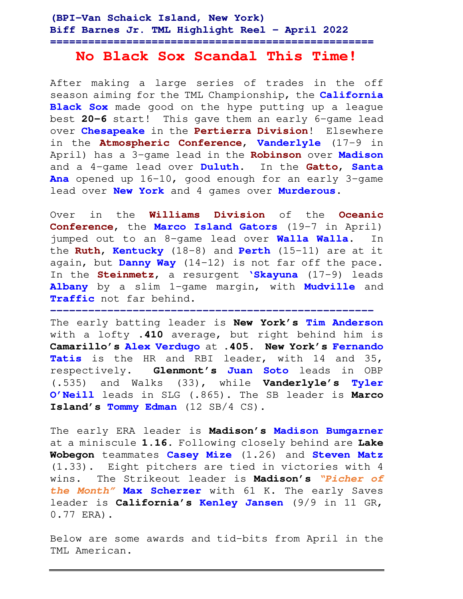## **(BPI-Van Schaick Island, New York) Biff Barnes Jr. TML Highlight Reel – April 2022 ===================================================**

# **No Black Sox Scandal This Time!**

After making a large series of trades in the off season aiming for the TML Championship, the **California Black Sox** made good on the hype putting up a league best **20-6** start! This gave them an early 6-game lead over **Chesapeake** in the **Pertierra Division**! Elsewhere in the **Atmospheric Conference**, **Vanderlyle** (17-9 in April) has a 3-game lead in the **Robinson** over **Madison** and a 4-game lead over **Duluth**. In the **Gatto**, **Santa Ana** opened up 16-10, good enough for an early 3-game lead over **New York** and 4 games over **Murderous**.

Over in the **Williams Division** of the **Oceanic Conference**, the **Marco Island Gators** (19-7 in April) jumped out to an 8-game lead over **Walla Walla**. In the **Ruth**, **Kentucky** (18-8) and **Perth** (15-11) are at it again, but **Danny Way** (14-12) is not far off the pace. In the **Steinmetz**, a resurgent **'Skayuna** (17-9) leads **Albany** by a slim 1-game margin, with **Mudville** and **Traffic** not far behind. **---------------------------------------------------**

The early batting leader is **New York's Tim Anderson**  with a lofty **.410** average, but right behind him is **Camarillo's Alex Verdugo** at **.405**. **New York's Fernando Tatis** is the HR and RBI leader, with 14 and 35, respectively. **Glenmont's Juan Soto** leads in OBP (.535) and Walks (33), while **Vanderlyle's Tyler O'Neill** leads in SLG (.865). The SB leader is **Marco Island's Tommy Edman** (12 SB/4 CS).

The early ERA leader is **Madison's Madison Bumgarner** at a miniscule **1.16.** Following closely behind are **Lake Wobegon** teammates **Casey Mize** (1.26) and **Steven Matz** (1.33). Eight pitchers are tied in victories with 4 wins. The Strikeout leader is **Madison's "Picher of the Month" Max Scherzer** with 61 K. The early Saves leader is **California's Kenley Jansen** (9/9 in 11 GR, 0.77 ERA).

Below are some awards and tid-bits from April in the TML American.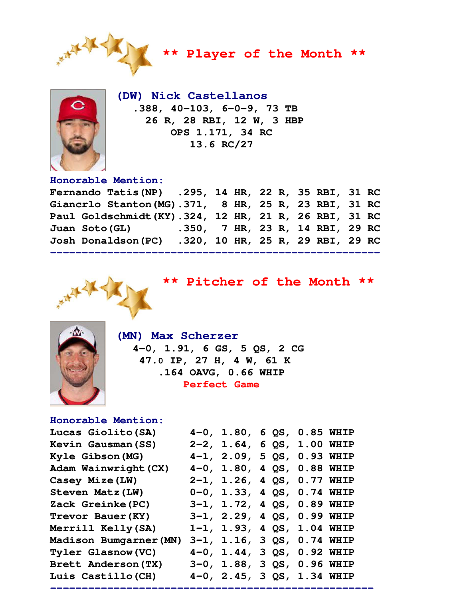

**\*\* Player of the Month \*\*** 



 **(DW) Nick Castellanos .388, 40-103, 6-0-9, 73 TB 26 R, 28 RBI, 12 W, 3 HBP OPS 1.171, 34 RC 13.6 RC/27** 

## **Honorable Mention:**

| Fernando Tatis(NP) .295, 14 HR, 22 R, 35 RBI, 31 RC   |  |  |  |  |  |
|-------------------------------------------------------|--|--|--|--|--|
| Giancrlo Stanton (MG).371, 8 HR, 25 R, 23 RBI, 31 RC  |  |  |  |  |  |
| Paul Goldschmidt (KY).324, 12 HR, 21 R, 26 RBI, 31 RC |  |  |  |  |  |
| Juan Soto (GL) 350, 7 HR, 23 R, 14 RBI, 29 RC         |  |  |  |  |  |
| Josh Donaldson(PC) .320, 10 HR, 25 R, 29 RBI, 29 RC   |  |  |  |  |  |
|                                                       |  |  |  |  |  |



**\*\* Pitcher of the Month \*\*** 



 **(MN) Max Scherzer 4-0, 1.91, 6 GS, 5 QS, 2 CG 47.0 IP, 27 H, 4 W, 61 K .164 OAVG, 0.66 WHIP Perfect Game** 

# **Honorable Mention:**

| Lucas Giolito (SA)       | $4-0$ , $1.80$ , $6$ QS, $0.85$ WHIP |  |  |
|--------------------------|--------------------------------------|--|--|
| Kevin Gausman (SS)       | $2-2$ , $1.64$ , 6 QS, $1.00$ WHIP   |  |  |
| Kyle Gibson (MG)         | $4-1$ , 2.09, 5 QS, 0.93 WHIP        |  |  |
| Adam Wainwright (CX)     | $4-0$ , $1.80$ , $4$ QS, $0.88$ WHIP |  |  |
| Casey Mize (LW)          | 2-1, 1.26, 4 QS, 0.77 WHIP           |  |  |
| Steven Matz (LW)         | $0-0$ , 1.33, 4 QS, 0.74 WHIP        |  |  |
| Zack Greinke (PC)        | 3-1, 1.72, 4 QS, 0.89 WHIP           |  |  |
| Trevor Bauer (KY)        | $3-1$ , $2.29$ , $4$ QS, 0.99 WHIP   |  |  |
| Merrill Kelly (SA)       | $1-1$ , $1.93$ , $4$ QS, $1.04$ WHIP |  |  |
| Madison Bumgarner (MN)   | $3-1$ , $1.16$ , $3$ QS, $0.74$ WHIP |  |  |
| <b>Tyler Glasnow(VC)</b> | 4-0, 1.44, 3 QS, 0.92 WHIP           |  |  |
| Brett Anderson (TX)      | 3-0, 1.88, 3 QS, 0.96 WHIP           |  |  |
| Luis Castillo (CH)       | 4-0, 2.45, 3 QS, 1.34 WHIP           |  |  |

**---------------------------------------------------**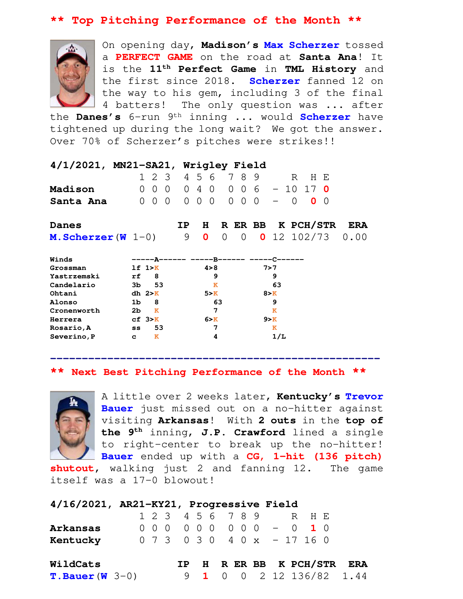## **\*\* Top Pitching Performance of the Month \*\***



On opening day, **Madison's Max Scherzer** tossed a **PERFECT GAME** on the road at **Santa Ana**! It is the **11th Perfect Game** in **TML History** and the first since 2018. **Scherzer** fanned 12 on the way to his gem, including 3 of the final 4 batters! The only question was ... after

the **Danes's** 6-run 9th inning ... would **Scherzer** have tightened up during the long wait? We got the answer. Over 70% of Scherzer's pitches were strikes!!

| 4/1/2021, MN21-SA21, Wrigley Field |                |                |                |     |                   |                |    |            |                |                                        |          |                   |               |            |
|------------------------------------|----------------|----------------|----------------|-----|-------------------|----------------|----|------------|----------------|----------------------------------------|----------|-------------------|---------------|------------|
|                                    |                | 123            |                |     | 4 5 6             |                |    | 78         | 9              |                                        | R        | H E               |               |            |
| Madison                            |                | 0<br>- 0       | $\Omega$       |     | $0\quad 4\quad 0$ |                |    |            | 0 0 6          | $-10$                                  |          | 17                | - 0           |            |
| Santa Ana                          | 0              | $\overline{0}$ | $\overline{0}$ |     | $0\quad 0$        | $\overline{0}$ |    | $0\quad 0$ | $\overline{0}$ |                                        | $\Omega$ | 0                 | $\left($      |            |
| Danes                              |                |                |                | IP. |                   | H.             |    |            |                |                                        |          | R ER BB K PCH/STR |               | <b>ERA</b> |
| <b>M. Scherzer (W</b> $1-0$ )      |                |                |                | 9   |                   | 0              | 0  | 0          |                |                                        |          |                   | $0$ 12 102/73 | 0.00       |
| Winds                              |                |                |                |     |                   |                |    |            |                | -----A------ -----R------ -----C------ |          |                   |               |            |
| Grossman                           |                | 1f 1 > K       |                |     |                   | 4 > 8          |    |            |                | 7>7                                    |          |                   |               |            |
| Yastrzemski                        | rf             | 8              |                |     |                   | 9              |    |            |                | 9                                      |          |                   |               |            |
| Candelario                         | ЗЬ             | 53             |                |     |                   | $\mathbf{K}$   |    |            |                | 63                                     |          |                   |               |            |
| Ohtani                             |                | $dh$ $2>K$     |                |     |                   | 5 > K          |    |            |                | 8 > K                                  |          |                   |               |            |
| Alonso                             | 1 <sub>b</sub> | 8              |                |     |                   |                | 63 |            |                | 9                                      |          |                   |               |            |
| Cronenworth                        | 2 <sub>b</sub> | ĸ              |                |     |                   | 7              |    |            |                | ĸ                                      |          |                   |               |            |
| Herrera                            |                | cf. 3>K        |                |     |                   | 6 > K          |    |            |                | 9 > K                                  |          |                   |               |            |
| Rosario, A                         | SS             | 53             |                |     |                   | 7              |    |            |                | ĸ                                      |          |                   |               |            |
| Severino, P                        | C              | ĸ              |                |     |                   | 4              |    |            |                | 1/L                                    |          |                   |               |            |

**\*\* Next Best Pitching Performance of the Month \*\*** 

**----------------------------------------------------** 



A little over 2 weeks later, **Kentucky's Trevor Bauer** just missed out on a no-hitter against visiting **Arkansas**! With **2 outs** in the **top of the 9th** inning, **J.P. Crawford** lined a single to right-center to break up the no-hitter! **Bauer** ended up with a **CG, 1-hit (136 pitch)** 

**shutout**, walking just 2 and fanning 12. The game itself was a 17-0 blowout!

| 4/16/2021, AR21-KY21, Progressive Field |  |  |                               |  |  |  |  |                            |  |
|-----------------------------------------|--|--|-------------------------------|--|--|--|--|----------------------------|--|
|                                         |  |  | 1 2 3 4 5 6 7 8 9 R H E       |  |  |  |  |                            |  |
| Arkansas                                |  |  | 000 000 000 - 0 10            |  |  |  |  |                            |  |
| Kentucky                                |  |  | $0$ 7 3 0 3 0 4 0 x - 17 16 0 |  |  |  |  |                            |  |
| WildCats                                |  |  |                               |  |  |  |  | IP H R ER BB K PCH/STR ERA |  |
| <b>T. Bauer (W</b> $3-0$ )              |  |  |                               |  |  |  |  | $9$ 1 0 0 2 12 136/82 1.44 |  |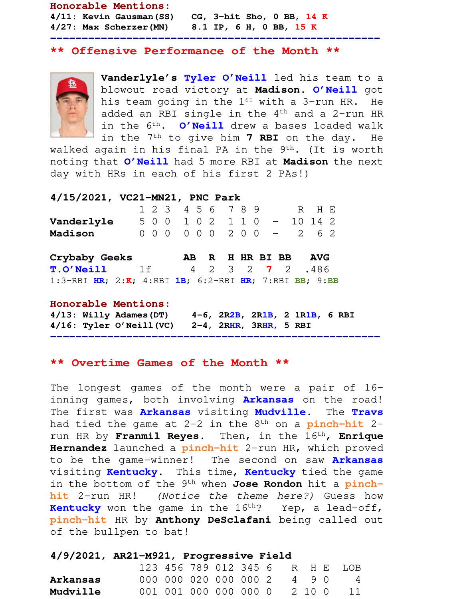**Honorable Mentions: 4/11: Kevin Gausman(SS) CG, 3-hit Sho, 0 BB, 14 K 4/27: Max Scherzer(MN) 8.1 IP, 6 H, 0 BB, 15 K**

### **\*\* Offensive Performance of the Month \*\***

**----------------------------------------------------** 



**Vanderlyle's Tyler O'Neill** led his team to a blowout road victory at **Madison**. **O'Neill** got his team going in the 1st with a 3-run HR. He added an RBI single in the  $4<sup>th</sup>$  and a 2-run HR in the 6th. **O'Neill** drew a bases loaded walk in the 7th to give him **7 RBI** on the day. He

walked again in his final PA in the  $9<sup>th</sup>$ . (It is worth noting that **O'Neill** had 5 more RBI at **Madison** the next day with HRs in each of his first 2 PAs!)

**4/15/2021, VC21-MN21, PNC Park** 

|            |  | 1 2 3 4 5 6 7 8 9 |  |  |                             | R H F. |  |
|------------|--|-------------------|--|--|-----------------------------|--------|--|
| Vanderlyle |  |                   |  |  | 5 0 0 1 0 2 1 1 0 - 10 14 2 |        |  |
| Madison    |  |                   |  |  | 0 0 0 0 0 0 2 0 0 - 2 6 2   |        |  |

| Crybaby Geeks                                         |  |  |  | AB R H HR BI BB AVG     |  |  |  |
|-------------------------------------------------------|--|--|--|-------------------------|--|--|--|
| <b>T.O'Neill</b> lf                                   |  |  |  | 4 2 3 2 <b>7</b> 2 .486 |  |  |  |
| 1:3-RBI HR; 2:K; 4:RBI 1B; 6:2-RBI HR; 7:RBI BB; 9:BB |  |  |  |                         |  |  |  |

#### **Honorable Mentions:**

**4/13: Willy Adames(DT) 4-6, 2R2B, 2R1B, 2 1R1B, 6 RBI 4/16: Tyler O'Neill(VC) 2-4, 2RHR, 3RHR, 5 RBI** 

**----------------------------------------------------** 

## **\*\* Overtime Games of the Month \*\***

The longest games of the month were a pair of 16 inning games, both involving **Arkansas** on the road! The first was **Arkansas** visiting **Mudville**. The **Travs** had tied the game at 2-2 in the 8th on a **pinch-hit** 2 run HR by **Franmil Reyes**. Then, in the 16th, **Enrique Hernandez** launched a **pinch-hit** 2-run HR, which proved to be the game-winner! The second on saw **Arkansas** visiting **Kentucky**. This time, **Kentucky** tied the game in the bottom of the 9th when **Jose Rondon** hit a **pinchhit** 2-run HR! (Notice the theme here?) Guess how **Kentucky** won the game in the 16<sup>th</sup>? Yep, a lead-off, **pinch-hit** HR by **Anthony DeSclafani** being called out of the bullpen to bat!

### **4/9/2021, AR21-M921, Progressive Field**

|                 |  |                             |  |  |  | 123 456 789 012 345 6 R H E LOB |
|-----------------|--|-----------------------------|--|--|--|---------------------------------|
| Arkansas        |  | 000 000 020 000 000 2 4 9 0 |  |  |  | $\overline{4}$                  |
| <b>Mudville</b> |  |                             |  |  |  | 001 001 000 000 000 0 2 10 0 11 |